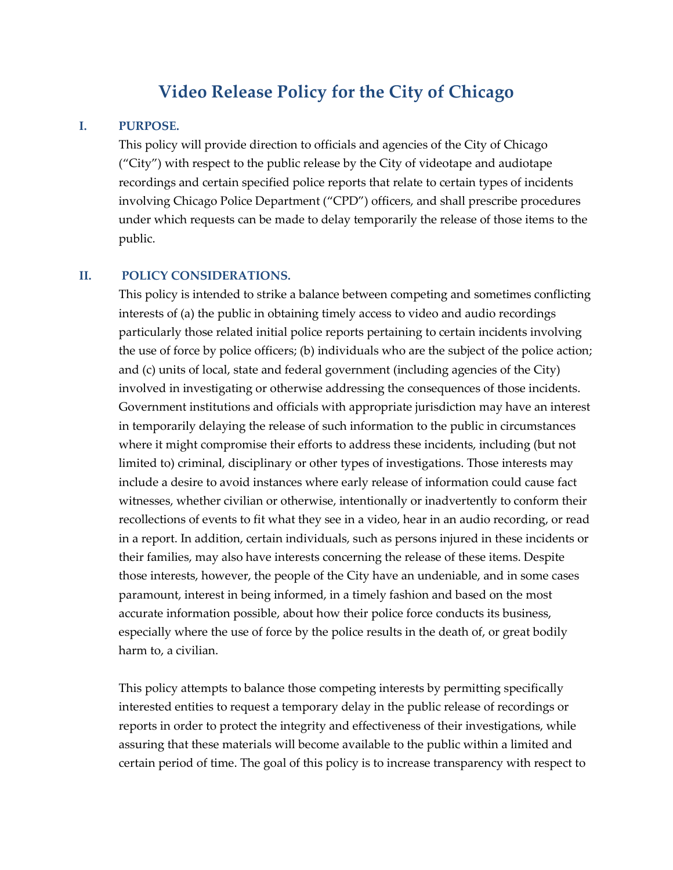# **Video Release Policy for the City of Chicago**

### **I. PURPOSE.**

This policy will provide direction to officials and agencies of the City of Chicago ("City") with respect to the public release by the City of videotape and audiotape recordings and certain specified police reports that relate to certain types of incidents involving Chicago Police Department ("CPD") officers, and shall prescribe procedures under which requests can be made to delay temporarily the release of those items to the public.

#### **II. POLICY CONSIDERATIONS.**

This policy is intended to strike a balance between competing and sometimes conflicting interests of (a) the public in obtaining timely access to video and audio recordings particularly those related initial police reports pertaining to certain incidents involving the use of force by police officers; (b) individuals who are the subject of the police action; and (c) units of local, state and federal government (including agencies of the City) involved in investigating or otherwise addressing the consequences of those incidents. Government institutions and officials with appropriate jurisdiction may have an interest in temporarily delaying the release of such information to the public in circumstances where it might compromise their efforts to address these incidents, including (but not limited to) criminal, disciplinary or other types of investigations. Those interests may include a desire to avoid instances where early release of information could cause fact witnesses, whether civilian or otherwise, intentionally or inadvertently to conform their recollections of events to fit what they see in a video, hear in an audio recording, or read in a report. In addition, certain individuals, such as persons injured in these incidents or their families, may also have interests concerning the release of these items. Despite those interests, however, the people of the City have an undeniable, and in some cases paramount, interest in being informed, in a timely fashion and based on the most accurate information possible, about how their police force conducts its business, especially where the use of force by the police results in the death of, or great bodily harm to, a civilian.

This policy attempts to balance those competing interests by permitting specifically interested entities to request a temporary delay in the public release of recordings or reports in order to protect the integrity and effectiveness of their investigations, while assuring that these materials will become available to the public within a limited and certain period of time. The goal of this policy is to increase transparency with respect to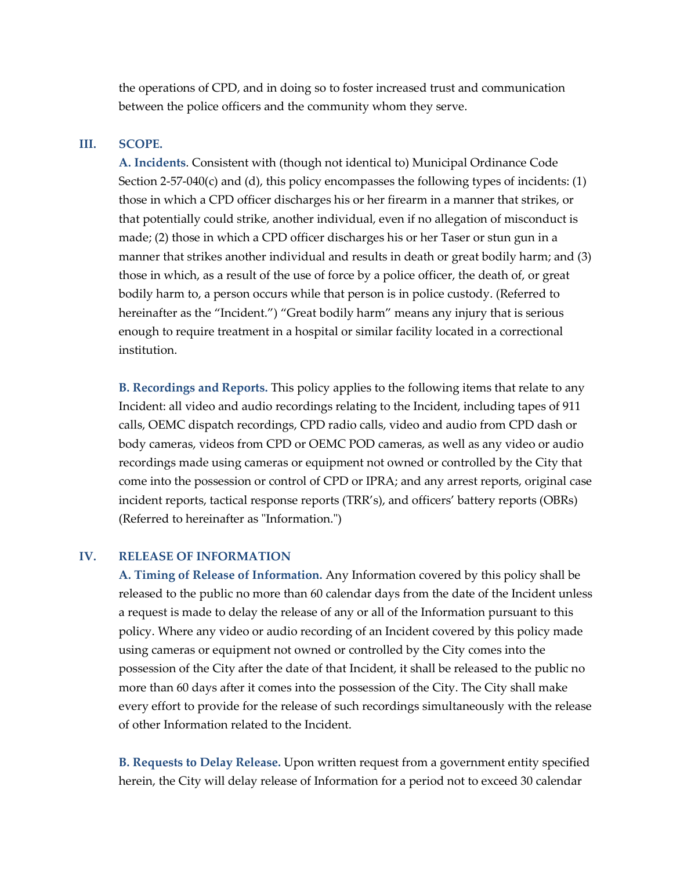the operations of CPD, and in doing so to foster increased trust and communication between the police officers and the community whom they serve.

## **III. SCOPE.**

**A. Incidents**. Consistent with (though not identical to) Municipal Ordinance Code Section 2-57-040(c) and (d), this policy encompasses the following types of incidents: (1) those in which a CPD officer discharges his or her firearm in a manner that strikes, or that potentially could strike, another individual, even if no allegation of misconduct is made; (2) those in which a CPD officer discharges his or her Taser or stun gun in a manner that strikes another individual and results in death or great bodily harm; and (3) those in which, as a result of the use of force by a police officer, the death of, or great bodily harm to, a person occurs while that person is in police custody. (Referred to hereinafter as the "Incident.") "Great bodily harm" means any injury that is serious enough to require treatment in a hospital or similar facility located in a correctional institution.

**B. Recordings and Reports.** This policy applies to the following items that relate to any Incident: all video and audio recordings relating to the Incident, including tapes of 911 calls, OEMC dispatch recordings, CPD radio calls, video and audio from CPD dash or body cameras, videos from CPD or OEMC POD cameras, as well as any video or audio recordings made using cameras or equipment not owned or controlled by the City that come into the possession or control of CPD or IPRA; and any arrest reports, original case incident reports, tactical response reports (TRR's), and officers' battery reports (OBRs) (Referred to hereinafter as "Information.")

## **IV. RELEASE OF INFORMATION**

**A. Timing of Release of Information.** Any Information covered by this policy shall be released to the public no more than 60 calendar days from the date of the Incident unless a request is made to delay the release of any or all of the Information pursuant to this policy. Where any video or audio recording of an Incident covered by this policy made using cameras or equipment not owned or controlled by the City comes into the possession of the City after the date of that Incident, it shall be released to the public no more than 60 days after it comes into the possession of the City. The City shall make every effort to provide for the release of such recordings simultaneously with the release of other Information related to the Incident.

**B. Requests to Delay Release.** Upon written request from a government entity specified herein, the City will delay release of Information for a period not to exceed 30 calendar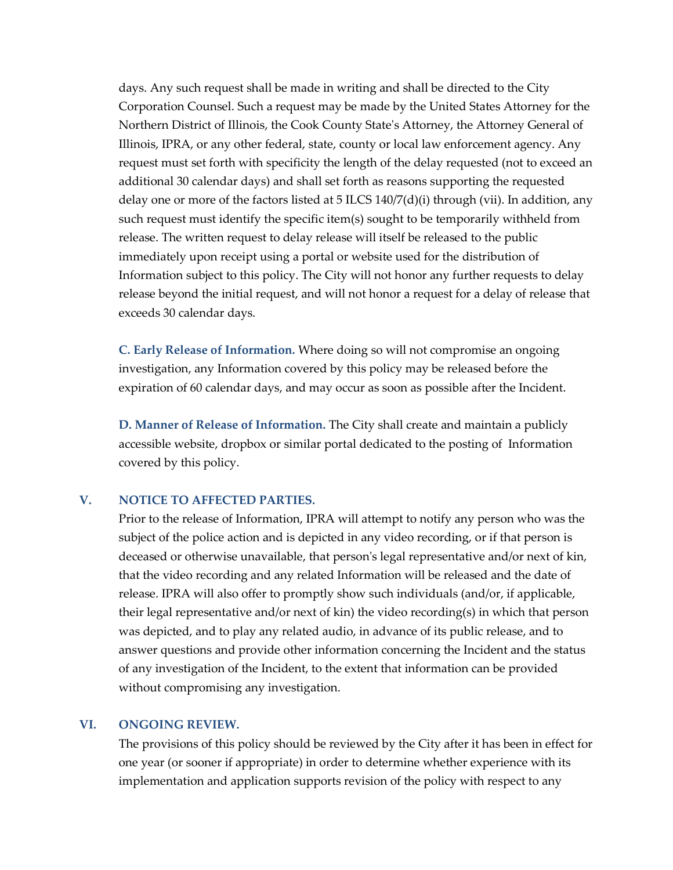days. Any such request shall be made in writing and shall be directed to the City Corporation Counsel. Such a request may be made by the United States Attorney for the Northern District of Illinois, the Cook County State's Attorney, the Attorney General of Illinois, IPRA, or any other federal, state, county or local law enforcement agency. Any request must set forth with specificity the length of the delay requested (not to exceed an additional 30 calendar days) and shall set forth as reasons supporting the requested delay one or more of the factors listed at 5 ILCS 140/7(d)(i) through (vii). In addition, any such request must identify the specific item(s) sought to be temporarily withheld from release. The written request to delay release will itself be released to the public immediately upon receipt using a portal or website used for the distribution of Information subject to this policy. The City will not honor any further requests to delay release beyond the initial request, and will not honor a request for a delay of release that exceeds 30 calendar days.

**C. Early Release of Information.** Where doing so will not compromise an ongoing investigation, any Information covered by this policy may be released before the expiration of 60 calendar days, and may occur as soon as possible after the Incident.

**D. Manner of Release of Information.** The City shall create and maintain a publicly accessible website, dropbox or similar portal dedicated to the posting of Information covered by this policy.

### **V. NOTICE TO AFFECTED PARTIES.**

Prior to the release of Information, IPRA will attempt to notify any person who was the subject of the police action and is depicted in any video recording, or if that person is deceased or otherwise unavailable, that person's legal representative and/or next of kin, that the video recording and any related Information will be released and the date of release. IPRA will also offer to promptly show such individuals (and/or, if applicable, their legal representative and/or next of kin) the video recording(s) in which that person was depicted, and to play any related audio, in advance of its public release, and to answer questions and provide other information concerning the Incident and the status of any investigation of the Incident, to the extent that information can be provided without compromising any investigation.

### **VI. ONGOING REVIEW.**

The provisions of this policy should be reviewed by the City after it has been in effect for one year (or sooner if appropriate) in order to determine whether experience with its implementation and application supports revision of the policy with respect to any